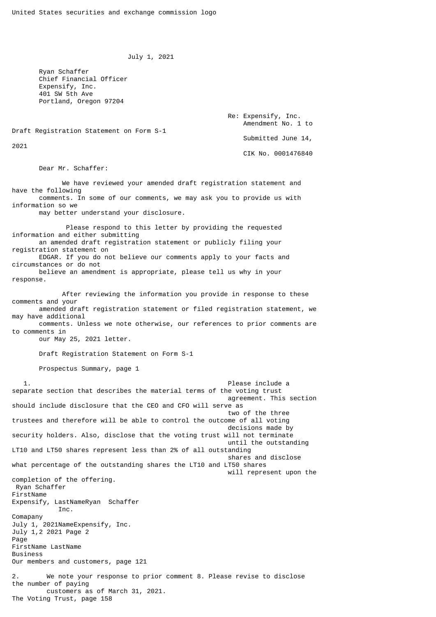July 1, 2021

 Ryan Schaffer Chief Financial Officer Expensify, Inc. 401 SW 5th Ave Portland, Oregon 97204

> Re: Expensify, Inc. Amendment No. 1 to Submitted June 14,

Draft Registration Statement on Form S-1

2021

CIK No. 0001476840

Dear Mr. Schaffer:

 We have reviewed your amended draft registration statement and have the following comments. In some of our comments, we may ask you to provide us with information so we

may better understand your disclosure.

 Please respond to this letter by providing the requested information and either submitting an amended draft registration statement or publicly filing your registration statement on EDGAR. If you do not believe our comments apply to your facts and circumstances or do not believe an amendment is appropriate, please tell us why in your response.

 After reviewing the information you provide in response to these comments and your

 amended draft registration statement or filed registration statement, we may have additional

 comments. Unless we note otherwise, our references to prior comments are to comments in

our May 25, 2021 letter.

Draft Registration Statement on Form S-1

Prospectus Summary, page 1

 1. Please include a separate section that describes the material terms of the voting trust agreement. This section should include disclosure that the CEO and CFO will serve as two of the three trustees and therefore will be able to control the outcome of all voting decisions made by security holders. Also, disclose that the voting trust will not terminate until the outstanding LT10 and LT50 shares represent less than 2% of all outstanding shares and disclose what percentage of the outstanding shares the LT10 and LT50 shares will represent upon the completion of the offering. Ryan Schaffer FirstName Expensify, LastNameRyan Schaffer Inc. Comapany July 1, 2021NameExpensify, Inc. July 1,2 2021 Page 2 Page FirstName LastName **Business** Our members and customers, page 121 2. We note your response to prior comment 8. Please revise to disclose the number of paying customers as of March 31, 2021. The Voting Trust, page 158